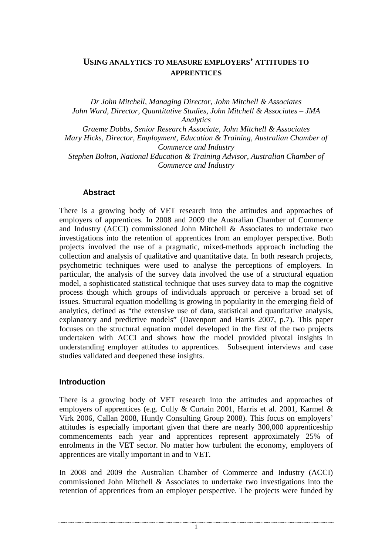## **USING ANALYTICS TO MEASURE EMPLOYERS' ATTITUDES TO APPRENTICES**

*Dr John Mitchell, Managing Director, John Mitchell & Associates John Ward, Director, Quantitative Studies, John Mitchell & Associates – JMA Analytics Graeme Dobbs, Senior Research Associate, John Mitchell & Associates Mary Hicks, Director, Employment, Education & Training, Australian Chamber of Commerce and Industry Stephen Bolton, National Education & Training Advisor, Australian Chamber of* 

*Commerce and Industry* 

## **Abstract**

There is a growing body of VET research into the attitudes and approaches of employers of apprentices. In 2008 and 2009 the Australian Chamber of Commerce and Industry (ACCI) commissioned John Mitchell & Associates to undertake two investigations into the retention of apprentices from an employer perspective. Both projects involved the use of a pragmatic, mixed-methods approach including the collection and analysis of qualitative and quantitative data. In both research projects, psychometric techniques were used to analyse the perceptions of employers. In particular, the analysis of the survey data involved the use of a structural equation model, a sophisticated statistical technique that uses survey data to map the cognitive process though which groups of individuals approach or perceive a broad set of issues. Structural equation modelling is growing in popularity in the emerging field of analytics, defined as "the extensive use of data, statistical and quantitative analysis, explanatory and predictive models" (Davenport and Harris 2007, p.7). This paper focuses on the structural equation model developed in the first of the two projects undertaken with ACCI and shows how the model provided pivotal insights in understanding employer attitudes to apprentices. Subsequent interviews and case studies validated and deepened these insights.

## **Introduction**

There is a growing body of VET research into the attitudes and approaches of employers of apprentices (e.g. Cully & Curtain 2001, Harris et al. 2001, Karmel & Virk 2006, Callan 2008, Huntly Consulting Group 2008). This focus on employers' attitudes is especially important given that there are nearly 300,000 apprenticeship commencements each year and apprentices represent approximately 25% of enrolments in the VET sector. No matter how turbulent the economy, employers of apprentices are vitally important in and to VET.

In 2008 and 2009 the Australian Chamber of Commerce and Industry (ACCI) commissioned John Mitchell & Associates to undertake two investigations into the retention of apprentices from an employer perspective. The projects were funded by

1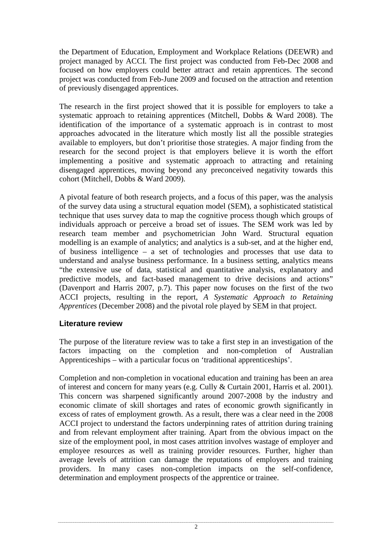the Department of Education, Employment and Workplace Relations (DEEWR) and project managed by ACCI. The first project was conducted from Feb-Dec 2008 and focused on how employers could better attract and retain apprentices. The second project was conducted from Feb-June 2009 and focused on the attraction and retention of previously disengaged apprentices.

The research in the first project showed that it is possible for employers to take a systematic approach to retaining apprentices (Mitchell, Dobbs & Ward 2008). The identification of the importance of a systematic approach is in contrast to most approaches advocated in the literature which mostly list all the possible strategies available to employers, but don't prioritise those strategies. A major finding from the research for the second project is that employers believe it is worth the effort implementing a positive and systematic approach to attracting and retaining disengaged apprentices, moving beyond any preconceived negativity towards this cohort (Mitchell, Dobbs & Ward 2009).

A pivotal feature of both research projects, and a focus of this paper, was the analysis of the survey data using a structural equation model (SEM), a sophisticated statistical technique that uses survey data to map the cognitive process though which groups of individuals approach or perceive a broad set of issues. The SEM work was led by research team member and psychometrician John Ward. Structural equation modelling is an example of analytics; and analytics is a sub-set, and at the higher end, of business intelligence – a set of technologies and processes that use data to understand and analyse business performance. In a business setting, analytics means "the extensive use of data, statistical and quantitative analysis, explanatory and predictive models, and fact-based management to drive decisions and actions" (Davenport and Harris 2007, p.7). This paper now focuses on the first of the two ACCI projects, resulting in the report, *A Systematic Approach to Retaining Apprentices* (December 2008) and the pivotal role played by SEM in that project.

## **Literature review**

The purpose of the literature review was to take a first step in an investigation of the factors impacting on the completion and non-completion of Australian Apprenticeships – with a particular focus on 'traditional apprenticeships'.

Completion and non-completion in vocational education and training has been an area of interest and concern for many years (e.g. Cully & Curtain 2001, Harris et al. 2001). This concern was sharpened significantly around 2007-2008 by the industry and economic climate of skill shortages and rates of economic growth significantly in excess of rates of employment growth. As a result, there was a clear need in the 2008 ACCI project to understand the factors underpinning rates of attrition during training and from relevant employment after training. Apart from the obvious impact on the size of the employment pool, in most cases attrition involves wastage of employer and employee resources as well as training provider resources. Further, higher than average levels of attrition can damage the reputations of employers and training providers. In many cases non-completion impacts on the self-confidence, determination and employment prospects of the apprentice or trainee.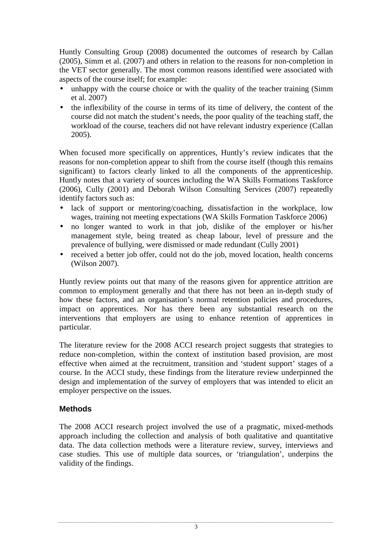Huntly Consulting Group (2008) documented the outcomes of research by Callan (2005), Simm et al. (2007) and others in relation to the reasons for non-completion in the VET sector generally. The most common reasons identified were associated with aspects of the course itself; for example:

- unhappy with the course choice or with the quality of the teacher training (Simm) et al. 2007)
- the inflexibility of the course in terms of its time of delivery, the content of the course did not match the student's needs, the poor quality of the teaching staff, the workload of the course, teachers did not have relevant industry experience (Callan 2005).

When focused more specifically on apprentices, Huntly's review indicates that the reasons for non-completion appear to shift from the course itself (though this remains significant) to factors clearly linked to all the components of the apprenticeship. Huntly notes that a variety of sources including the WA Skills Formations Taskforce (2006), Cully (2001) and Deborah Wilson Consulting Services (2007) repeatedly identify factors such as:

- lack of support or mentoring/coaching, dissatisfaction in the workplace, low wages, training not meeting expectations (WA Skills Formation Taskforce 2006)
- no longer wanted to work in that job, dislike of the employer or his/her management style, being treated as cheap labour, level of pressure and the prevalence of bullying, were dismissed or made redundant (Cully 2001)
- received a better job offer, could not do the job, moved location, health concerns (Wilson 2007).

Huntly review points out that many of the reasons given for apprentice attrition are common to employment generally and that there has not been an in-depth study of how these factors, and an organisation's normal retention policies and procedures, impact on apprentices. Nor has there been any substantial research on the interventions that employers are using to enhance retention of apprentices in particular.

The literature review for the 2008 ACCI research project suggests that strategies to reduce non-completion, within the context of institution based provision, are most effective when aimed at the recruitment, transition and 'student support' stages of a course. In the ACCI study, these findings from the literature review underpinned the design and implementation of the survey of employers that was intended to elicit an employer perspective on the issues.

## **Methods**

The 2008 ACCI research project involved the use of a pragmatic, mixed-methods approach including the collection and analysis of both qualitative and quantitative data. The data collection methods were a literature review, survey, interviews and case studies. This use of multiple data sources, or 'triangulation', underpins the validity of the findings.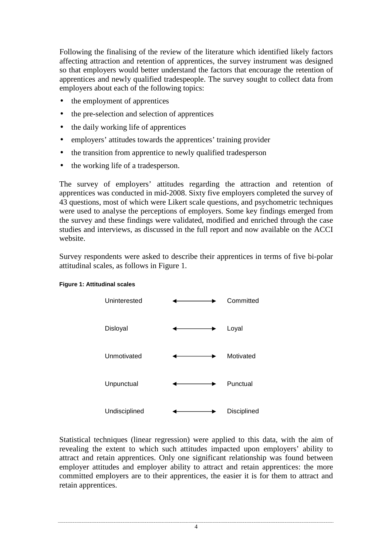Following the finalising of the review of the literature which identified likely factors affecting attraction and retention of apprentices, the survey instrument was designed so that employers would better understand the factors that encourage the retention of apprentices and newly qualified tradespeople. The survey sought to collect data from employers about each of the following topics:

- the employment of apprentices
- the pre-selection and selection of apprentices
- the daily working life of apprentices
- employers' attitudes towards the apprentices' training provider
- the transition from apprentice to newly qualified tradesperson
- the working life of a tradesperson.

The survey of employers' attitudes regarding the attraction and retention of apprentices was conducted in mid-2008. Sixty five employers completed the survey of 43 questions, most of which were Likert scale questions, and psychometric techniques were used to analyse the perceptions of employers. Some key findings emerged from the survey and these findings were validated, modified and enriched through the case studies and interviews, as discussed in the full report and now available on the ACCI website.

Survey respondents were asked to describe their apprentices in terms of five bi-polar attitudinal scales, as follows in Figure 1.



#### **Figure 1: Attitudinal scales**

Statistical techniques (linear regression) were applied to this data, with the aim of revealing the extent to which such attitudes impacted upon employers' ability to attract and retain apprentices. Only one significant relationship was found between employer attitudes and employer ability to attract and retain apprentices: the more committed employers are to their apprentices, the easier it is for them to attract and retain apprentices.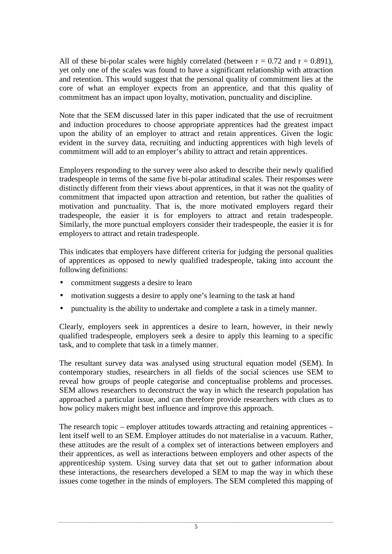All of these bi-polar scales were highly correlated (between  $r = 0.72$  and  $r = 0.891$ ), yet only one of the scales was found to have a significant relationship with attraction and retention. This would suggest that the personal quality of commitment lies at the core of what an employer expects from an apprentice, and that this quality of commitment has an impact upon loyalty, motivation, punctuality and discipline.

Note that the SEM discussed later in this paper indicated that the use of recruitment and induction procedures to choose appropriate apprentices had the greatest impact upon the ability of an employer to attract and retain apprentices. Given the logic evident in the survey data, recruiting and inducting apprentices with high levels of commitment will add to an employer's ability to attract and retain apprentices.

Employers responding to the survey were also asked to describe their newly qualified tradespeople in terms of the same five bi-polar attitudinal scales. Their responses were distinctly different from their views about apprentices, in that it was not the quality of commitment that impacted upon attraction and retention, but rather the qualities of motivation and punctuality. That is, the more motivated employers regard their tradespeople, the easier it is for employers to attract and retain tradespeople. Similarly, the more punctual employers consider their tradespeople, the easier it is for employers to attract and retain tradespeople.

This indicates that employers have different criteria for judging the personal qualities of apprentices as opposed to newly qualified tradespeople, taking into account the following definitions:

- commitment suggests a desire to learn
- motivation suggests a desire to apply one's learning to the task at hand
- punctuality is the ability to undertake and complete a task in a timely manner.

Clearly, employers seek in apprentices a desire to learn, however, in their newly qualified tradespeople, employers seek a desire to apply this learning to a specific task, and to complete that task in a timely manner.

The resultant survey data was analysed using structural equation model (SEM). In contemporary studies, researchers in all fields of the social sciences use SEM to reveal how groups of people categorise and conceptualise problems and processes. SEM allows researchers to deconstruct the way in which the research population has approached a particular issue, and can therefore provide researchers with clues as to how policy makers might best influence and improve this approach.

The research topic – employer attitudes towards attracting and retaining apprentices – lent itself well to an SEM. Employer attitudes do not materialise in a vacuum. Rather, these attitudes are the result of a complex set of interactions between employers and their apprentices, as well as interactions between employers and other aspects of the apprenticeship system. Using survey data that set out to gather information about these interactions, the researchers developed a SEM to map the way in which these issues come together in the minds of employers. The SEM completed this mapping of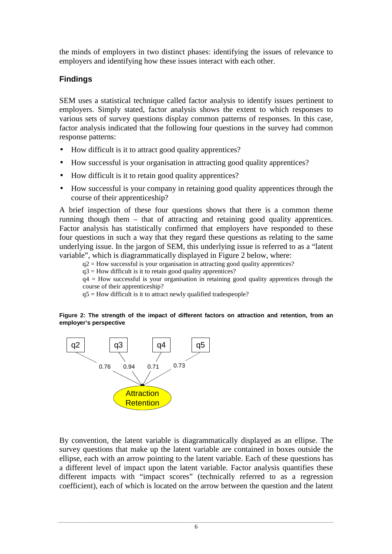the minds of employers in two distinct phases: identifying the issues of relevance to employers and identifying how these issues interact with each other.

# **Findings**

SEM uses a statistical technique called factor analysis to identify issues pertinent to employers. Simply stated, factor analysis shows the extent to which responses to various sets of survey questions display common patterns of responses. In this case, factor analysis indicated that the following four questions in the survey had common response patterns:

- How difficult is it to attract good quality apprentices?
- How successful is your organisation in attracting good quality apprentices?
- How difficult is it to retain good quality apprentices?
- How successful is your company in retaining good quality apprentices through the course of their apprenticeship?

A brief inspection of these four questions shows that there is a common theme running though them – that of attracting and retaining good quality apprentices. Factor analysis has statistically confirmed that employers have responded to these four questions in such a way that they regard these questions as relating to the same underlying issue. In the jargon of SEM, this underlying issue is referred to as a "latent variable", which is diagrammatically displayed in Figure 2 below, where:

 $q2$  = How successful is your organisation in attracting good quality apprentices?

 $q3$  = How difficult is it to retain good quality apprentices?

 $q4$  = How successful is your organisation in retaining good quality apprentices through the course of their apprenticeship?

 $q5$  = How difficult is it to attract newly qualified tradespeople?

**Figure 2: The strength of the impact of different factors on attraction and retention, from an employer's perspective** 



By convention, the latent variable is diagrammatically displayed as an ellipse. The survey questions that make up the latent variable are contained in boxes outside the ellipse, each with an arrow pointing to the latent variable. Each of these questions has a different level of impact upon the latent variable. Factor analysis quantifies these different impacts with "impact scores" (technically referred to as a regression coefficient), each of which is located on the arrow between the question and the latent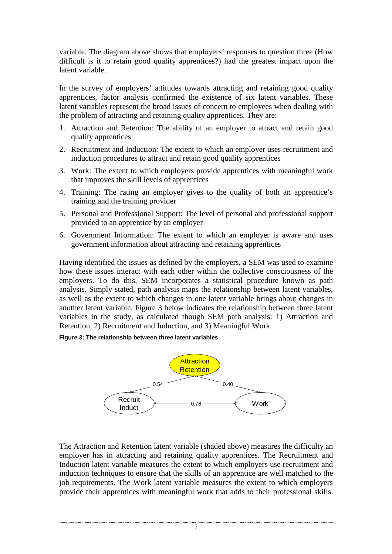variable. The diagram above shows that employers' responses to question three (How difficult is it to retain good quality apprentices?) had the greatest impact upon the latent variable.

In the survey of employers' attitudes towards attracting and retaining good quality apprentices, factor analysis confirmed the existence of six latent variables. These latent variables represent the broad issues of concern to employees when dealing with the problem of attracting and retaining quality apprentices. They are:

- 1. Attraction and Retention: The ability of an employer to attract and retain good quality apprentices
- 2. Recruitment and Induction: The extent to which an employer uses recruitment and induction procedures to attract and retain good quality apprentices
- 3. Work: The extent to which employers provide apprentices with meaningful work that improves the skill levels of apprentices
- 4. Training: The rating an employer gives to the quality of both an apprentice's training and the training provider
- 5. Personal and Professional Support: The level of personal and professional support provided to an apprentice by an employer
- 6. Government Information: The extent to which an employer is aware and uses government information about attracting and retaining apprentices

Having identified the issues as defined by the employers, a SEM was used to examine how these issues interact with each other within the collective consciousness of the employers. To do this, SEM incorporates a statistical procedure known as path analysis. Simply stated, path analysis maps the relationship between latent variables, as well as the extent to which changes in one latent variable brings about changes in another latent variable. Figure 3 below indicates the relationship between three latent variables in the study, as calculated though SEM path analysis: 1) Attraction and Retention, 2) Recruitment and Induction, and 3) Meaningful Work.

#### **Figure 3: The relationship between three latent variables**



The Attraction and Retention latent variable (shaded above) measures the difficulty an employer has in attracting and retaining quality apprentices. The Recruitment and Induction latent variable measures the extent to which employers use recruitment and induction techniques to ensure that the skills of an apprentice are well matched to the job requirements. The Work latent variable measures the extent to which employers provide their apprentices with meaningful work that adds to their professional skills.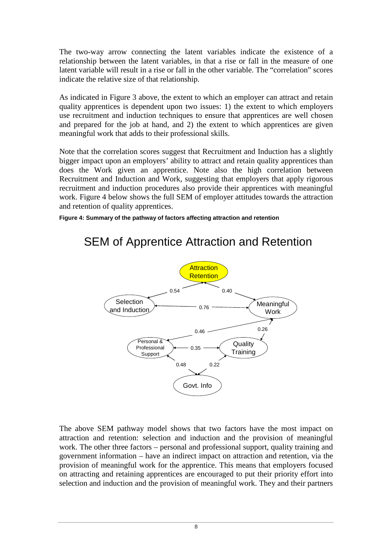The two-way arrow connecting the latent variables indicate the existence of a relationship between the latent variables, in that a rise or fall in the measure of one latent variable will result in a rise or fall in the other variable. The "correlation" scores indicate the relative size of that relationship.

As indicated in Figure 3 above, the extent to which an employer can attract and retain quality apprentices is dependent upon two issues: 1) the extent to which employers use recruitment and induction techniques to ensure that apprentices are well chosen and prepared for the job at hand, and 2) the extent to which apprentices are given meaningful work that adds to their professional skills.

Note that the correlation scores suggest that Recruitment and Induction has a slightly bigger impact upon an employers' ability to attract and retain quality apprentices than does the Work given an apprentice. Note also the high correlation between Recruitment and Induction and Work, suggesting that employers that apply rigorous recruitment and induction procedures also provide their apprentices with meaningful work. Figure 4 below shows the full SEM of employer attitudes towards the attraction and retention of quality apprentices.

**Figure 4: Summary of the pathway of factors affecting attraction and retention** 



# SEM of Apprentice Attraction and Retention

The above SEM pathway model shows that two factors have the most impact on attraction and retention: selection and induction and the provision of meaningful work. The other three factors – personal and professional support, quality training and government information – have an indirect impact on attraction and retention, via the provision of meaningful work for the apprentice. This means that employers focused on attracting and retaining apprentices are encouraged to put their priority effort into selection and induction and the provision of meaningful work. They and their partners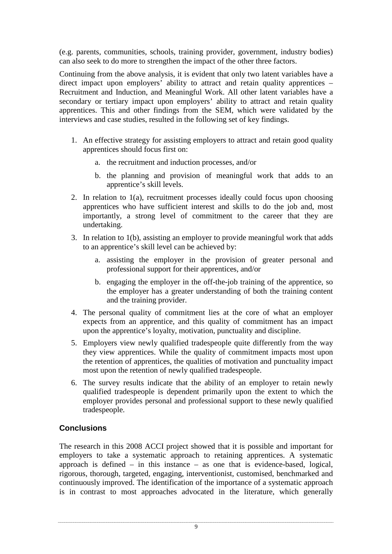(e.g. parents, communities, schools, training provider, government, industry bodies) can also seek to do more to strengthen the impact of the other three factors.

Continuing from the above analysis, it is evident that only two latent variables have a direct impact upon employers' ability to attract and retain quality apprentices – Recruitment and Induction, and Meaningful Work. All other latent variables have a secondary or tertiary impact upon employers' ability to attract and retain quality apprentices. This and other findings from the SEM, which were validated by the interviews and case studies, resulted in the following set of key findings.

- 1. An effective strategy for assisting employers to attract and retain good quality apprentices should focus first on:
	- a. the recruitment and induction processes, and/or
	- b. the planning and provision of meaningful work that adds to an apprentice's skill levels.
- 2. In relation to 1(a), recruitment processes ideally could focus upon choosing apprentices who have sufficient interest and skills to do the job and, most importantly, a strong level of commitment to the career that they are undertaking.
- 3. In relation to 1(b), assisting an employer to provide meaningful work that adds to an apprentice's skill level can be achieved by:
	- a. assisting the employer in the provision of greater personal and professional support for their apprentices, and/or
	- b. engaging the employer in the off-the-job training of the apprentice, so the employer has a greater understanding of both the training content and the training provider.
- 4. The personal quality of commitment lies at the core of what an employer expects from an apprentice, and this quality of commitment has an impact upon the apprentice's loyalty, motivation, punctuality and discipline.
- 5. Employers view newly qualified tradespeople quite differently from the way they view apprentices. While the quality of commitment impacts most upon the retention of apprentices, the qualities of motivation and punctuality impact most upon the retention of newly qualified tradespeople.
- 6. The survey results indicate that the ability of an employer to retain newly qualified tradespeople is dependent primarily upon the extent to which the employer provides personal and professional support to these newly qualified tradespeople.

# **Conclusions**

The research in this 2008 ACCI project showed that it is possible and important for employers to take a systematic approach to retaining apprentices. A systematic approach is defined – in this instance – as one that is evidence-based, logical, rigorous, thorough, targeted, engaging, interventionist, customised, benchmarked and continuously improved. The identification of the importance of a systematic approach is in contrast to most approaches advocated in the literature, which generally